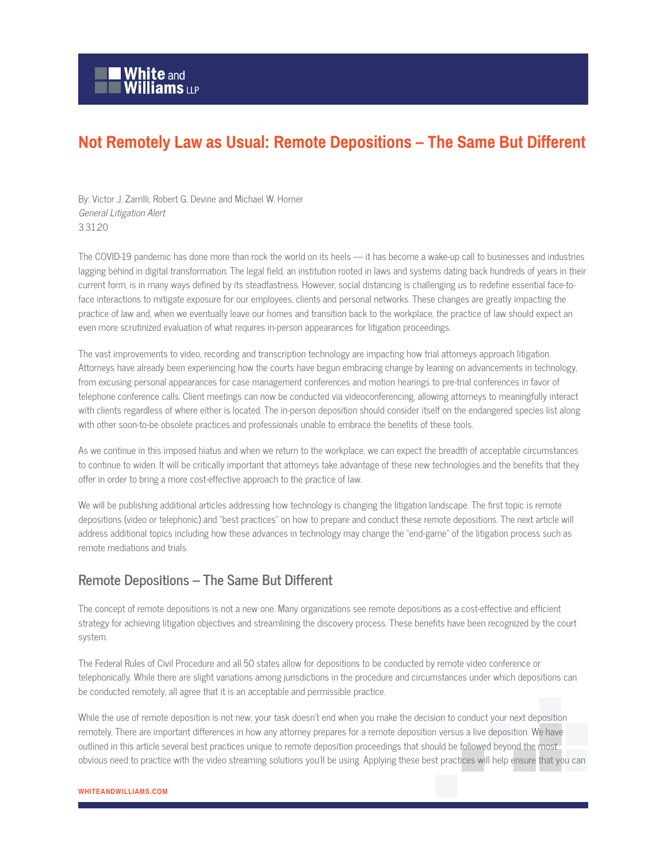# **Not Remotely Law as Usual: Remote Depositions – The Same But Different**

By: Victor J. Zarrilli, Robert G. Devine and Michael W. Horner General Litigation Alert 3.31.20

The COVID-19 pandemic has done more than rock the world on its heels — it has become a wake-up call to businesses and industries lagging behind in digital transformation. The legal field, an institution rooted in laws and systems dating back hundreds of years in their current form, is in many ways defined by its steadfastness. However, social distancing is challenging us to redefine essential face-toface interactions to mitigate exposure for our employees, clients and personal networks. These changes are greatly impacting the practice of law and, when we eventually leave our homes and transition back to the workplace, the practice of law should expect an even more scrutinized evaluation of what requires in-person appearances for litigation proceedings.

The vast improvements to video, recording and transcription technology are impacting how trial attorneys approach litigation. Attorneys have already been experiencing how the courts have begun embracing change by leaning on advancements in technology, from excusing personal appearances for case management conferences and motion hearings to pre-trial conferences in favor of telephone conference calls. Client meetings can now be conducted via videoconferencing, allowing attorneys to meaningfully interact with clients regardless of where either is located. The in-person deposition should consider itself on the endangered species list along with other soon-to-be obsolete practices and professionals unable to embrace the benefits of these tools.

As we continue in this imposed hiatus and when we return to the workplace, we can expect the breadth of acceptable circumstances to continue to widen. It will be critically important that attorneys take advantage of these new technologies and the benefits that they offer in order to bring a more cost-effective approach to the practice of law.

We will be publishing additional articles addressing how technology is changing the litigation landscape. The first topic is remote depositions (video or telephonic) and "best practices" on how to prepare and conduct these remote depositions. The next article will address additional topics including how these advances in technology may change the "end-game" of the litigation process such as remote mediations and trials.

# **Remote Depositions – The Same But Different**

The concept of remote depositions is not a new one. Many organizations see remote depositions as a cost-effective and efficient strategy for achieving litigation objectives and streamlining the discovery process. These benefits have been recognized by the court system.

The Federal Rules of Civil Procedure and all 50 states allow for depositions to be conducted by remote video conference or telephonically. While there are slight variations among jurisdictions in the procedure and circumstances under which depositions can be conducted remotely, all agree that it is an acceptable and permissible practice.

While the use of remote deposition is not new, your task doesn't end when you make the decision to conduct your next deposition remotely. There are important differences in how any attorney prepares for a remote deposition versus a live deposition. We have outlined in this article several best practices unique to remote deposition proceedings that should be followed beyond the most obvious need to practice with the video streaming solutions you'll be using. Applying these best practices will help ensure that you can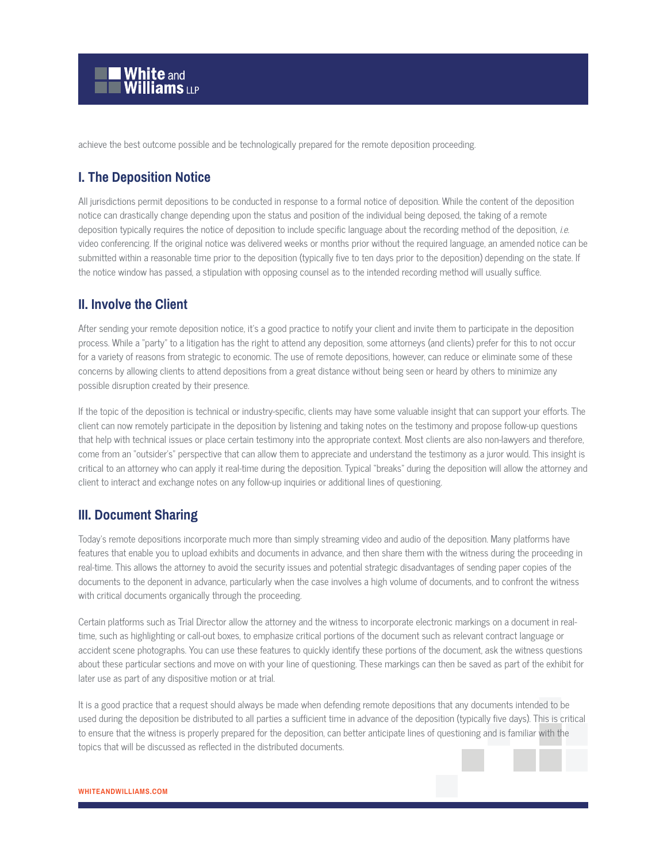

achieve the best outcome possible and be technologically prepared for the remote deposition proceeding.

# **I. The Deposition Notice**

All jurisdictions permit depositions to be conducted in response to a formal notice of deposition. While the content of the deposition notice can drastically change depending upon the status and position of the individual being deposed, the taking of a remote deposition typically requires the notice of deposition to include specific language about the recording method of the deposition, i.e. video conferencing. If the original notice was delivered weeks or months prior without the required language, an amended notice can be submitted within a reasonable time prior to the deposition (typically five to ten days prior to the deposition) depending on the state. If the notice window has passed, a stipulation with opposing counsel as to the intended recording method will usually suffice.

# **II. Involve the Client**

After sending your remote deposition notice, it's a good practice to notify your client and invite them to participate in the deposition process. While a "party" to a litigation has the right to attend any deposition, some attorneys (and clients) prefer for this to not occur for a variety of reasons from strategic to economic. The use of remote depositions, however, can reduce or eliminate some of these concerns by allowing clients to attend depositions from a great distance without being seen or heard by others to minimize any possible disruption created by their presence.

If the topic of the deposition is technical or industry-specific, clients may have some valuable insight that can support your efforts. The client can now remotely participate in the deposition by listening and taking notes on the testimony and propose follow-up questions that help with technical issues or place certain testimony into the appropriate context. Most clients are also non-lawyers and therefore, come from an "outsider's" perspective that can allow them to appreciate and understand the testimony as a juror would. This insight is critical to an attorney who can apply it real-time during the deposition. Typical "breaks" during the deposition will allow the attorney and client to interact and exchange notes on any follow-up inquiries or additional lines of questioning.

#### **III. Document Sharing**

Today's remote depositions incorporate much more than simply streaming video and audio of the deposition. Many platforms have features that enable you to upload exhibits and documents in advance, and then share them with the witness during the proceeding in real-time. This allows the attorney to avoid the security issues and potential strategic disadvantages of sending paper copies of the documents to the deponent in advance, particularly when the case involves a high volume of documents, and to confront the witness with critical documents organically through the proceeding.

Certain platforms such as Trial Director allow the attorney and the witness to incorporate electronic markings on a document in realtime, such as highlighting or call-out boxes, to emphasize critical portions of the document such as relevant contract language or accident scene photographs. You can use these features to quickly identify these portions of the document, ask the witness questions about these particular sections and move on with your line of questioning. These markings can then be saved as part of the exhibit for later use as part of any dispositive motion or at trial.

It is a good practice that a request should always be made when defending remote depositions that any documents intended to be used during the deposition be distributed to all parties a sufficient time in advance of the deposition (typically five days). This is critical to ensure that the witness is properly prepared for the deposition, can better anticipate lines of questioning and is familiar with the topics that will be discussed as reflected in the distributed documents.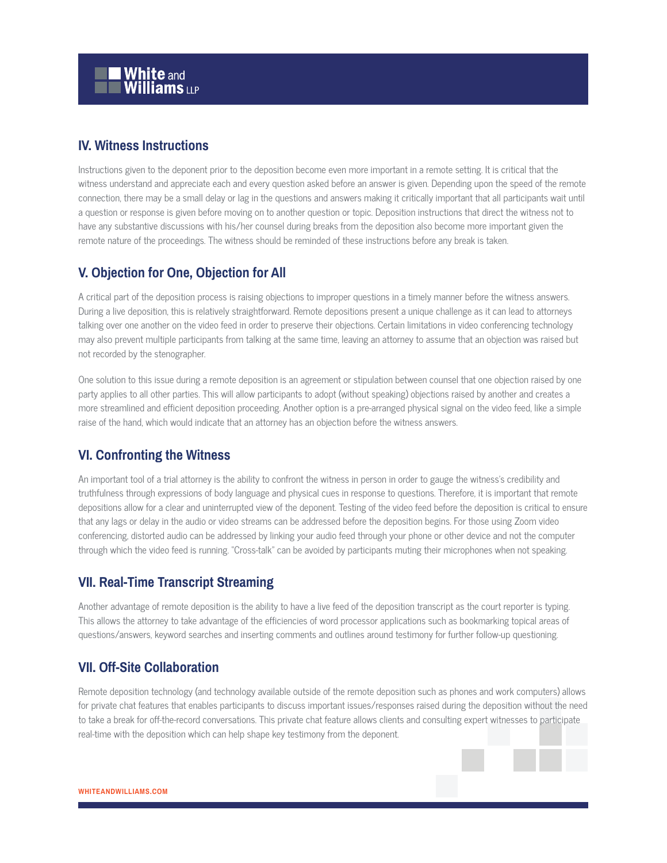

### **IV. Witness Instructions**

Instructions given to the deponent prior to the deposition become even more important in a remote setting. It is critical that the witness understand and appreciate each and every question asked before an answer is given. Depending upon the speed of the remote connection, there may be a small delay or lag in the questions and answers making it critically important that all participants wait until a question or response is given before moving on to another question or topic. Deposition instructions that direct the witness not to have any substantive discussions with his/her counsel during breaks from the deposition also become more important given the remote nature of the proceedings. The witness should be reminded of these instructions before any break is taken.

# **V. Objection for One, Objection for All**

A critical part of the deposition process is raising objections to improper questions in a timely manner before the witness answers. During a live deposition, this is relatively straightforward. Remote depositions present a unique challenge as it can lead to attorneys talking over one another on the video feed in order to preserve their objections. Certain limitations in video conferencing technology may also prevent multiple participants from talking at the same time, leaving an attorney to assume that an objection was raised but not recorded by the stenographer.

One solution to this issue during a remote deposition is an agreement or stipulation between counsel that one objection raised by one party applies to all other parties. This will allow participants to adopt (without speaking) objections raised by another and creates a more streamlined and efficient deposition proceeding. Another option is a pre-arranged physical signal on the video feed, like a simple raise of the hand, which would indicate that an attorney has an objection before the witness answers.

# **VI. Confronting the Witness**

An important tool of a trial attorney is the ability to confront the witness in person in order to gauge the witness's credibility and truthfulness through expressions of body language and physical cues in response to questions. Therefore, it is important that remote depositions allow for a clear and uninterrupted view of the deponent. Testing of the video feed before the deposition is critical to ensure that any lags or delay in the audio or video streams can be addressed before the deposition begins. For those using Zoom video conferencing, distorted audio can be addressed by linking your audio feed through your phone or other device and not the computer through which the video feed is running. "Cross-talk" can be avoided by participants muting their microphones when not speaking.

# **VII. Real-Time Transcript Streaming**

Another advantage of remote deposition is the ability to have a live feed of the deposition transcript as the court reporter is typing. This allows the attorney to take advantage of the efficiencies of word processor applications such as bookmarking topical areas of questions/answers, keyword searches and inserting comments and outlines around testimony for further follow-up questioning.

# **VII. Off-Site Collaboration**

Remote deposition technology (and technology available outside of the remote deposition such as phones and work computers) allows for private chat features that enables participants to discuss important issues/responses raised during the deposition without the need to take a break for off-the-record conversations. This private chat feature allows clients and consulting expert witnesses to participate real-time with the deposition which can help shape key testimony from the deponent.